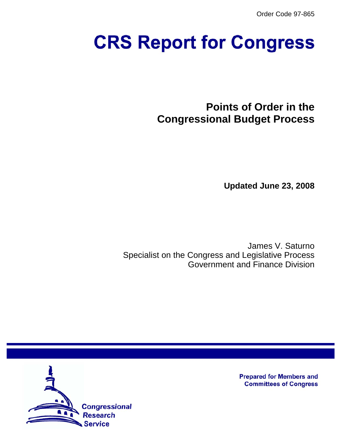Order Code 97-865

# **CRS Report for Congress**

**Points of Order in the Congressional Budget Process**

**Updated June 23, 2008**

James V. Saturno Specialist on the Congress and Legislative Process Government and Finance Division



**Prepared for Members and Committees of Congress**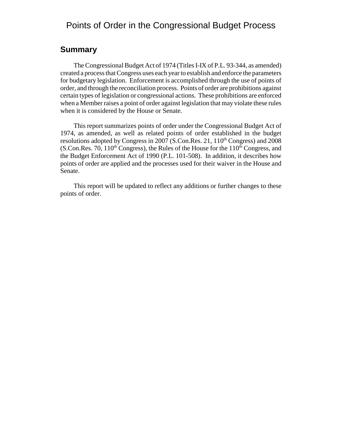### Points of Order in the Congressional Budget Process

#### **Summary**

The Congressional Budget Act of 1974 (Titles I-IX of P.L. 93-344, as amended) created a process that Congress uses each year to establish and enforce the parameters for budgetary legislation. Enforcement is accomplished through the use of points of order, and through the reconciliation process. Points of order are prohibitions against certain types of legislation or congressional actions. These prohibitions are enforced when a Member raises a point of order against legislation that may violate these rules when it is considered by the House or Senate.

This report summarizes points of order under the Congressional Budget Act of 1974, as amended, as well as related points of order established in the budget resolutions adopted by Congress in 2007 (S.Con.Res. 21, 110<sup>th</sup> Congress) and 2008  $(S. Con. Res. 70, 110<sup>th</sup> Congress)$ , the Rules of the House for the  $110<sup>th</sup> Congress$ , and the Budget Enforcement Act of 1990 (P.L. 101-508). In addition, it describes how points of order are applied and the processes used for their waiver in the House and Senate.

This report will be updated to reflect any additions or further changes to these points of order.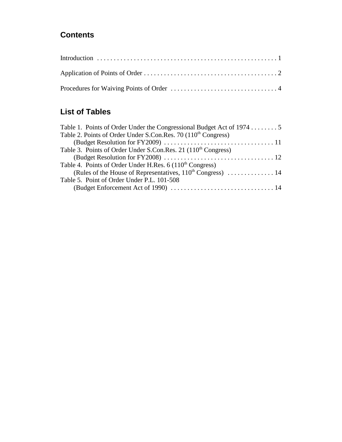## **Contents**

# **List of Tables**

| Table 1. Points of Order Under the Congressional Budget Act of 19745                                             |  |
|------------------------------------------------------------------------------------------------------------------|--|
| Table 2. Points of Order Under S.Con.Res. 70 (110 <sup>th</sup> Congress)                                        |  |
|                                                                                                                  |  |
| Table 3. Points of Order Under S.Con.Res. 21 (110 <sup>th</sup> Congress)                                        |  |
| (Budget Resolution for FY2008) $\ldots \ldots \ldots \ldots \ldots \ldots \ldots \ldots \ldots \ldots \ldots 12$ |  |
| Table 4. Points of Order Under H.Res. 6 (110 <sup>th</sup> Congress)                                             |  |
|                                                                                                                  |  |
| Table 5. Point of Order Under P.L. 101-508                                                                       |  |
|                                                                                                                  |  |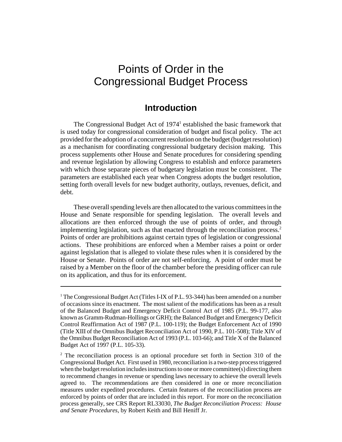# Points of Order in the Congressional Budget Process

#### **Introduction**

The Congressional Budget Act of  $1974<sup>1</sup>$  established the basic framework that is used today for congressional consideration of budget and fiscal policy. The act provided for the adoption of a concurrent resolution on the budget (budget resolution) as a mechanism for coordinating congressional budgetary decision making. This process supplements other House and Senate procedures for considering spending and revenue legislation by allowing Congress to establish and enforce parameters with which those separate pieces of budgetary legislation must be consistent. The parameters are established each year when Congress adopts the budget resolution, setting forth overall levels for new budget authority, outlays, revenues, deficit, and debt.

These overall spending levels are then allocated to the various committees in the House and Senate responsible for spending legislation. The overall levels and allocations are then enforced through the use of points of order, and through implementing legislation, such as that enacted through the reconciliation process.2 Points of order are prohibitions against certain types of legislation or congressional actions. These prohibitions are enforced when a Member raises a point or order against legislation that is alleged to violate these rules when it is considered by the House or Senate. Points of order are not self-enforcing. A point of order must be raised by a Member on the floor of the chamber before the presiding officer can rule on its application, and thus for its enforcement.

<sup>&</sup>lt;sup>1</sup> The Congressional Budget Act (Titles I-IX of P.L. 93-344) has been amended on a number of occasions since its enactment. The most salient of the modifications has been as a result of the Balanced Budget and Emergency Deficit Control Act of 1985 (P.L. 99-177, also known as Gramm-Rudman-Hollings or GRH); the Balanced Budget and Emergency Deficit Control Reaffirmation Act of 1987 (P.L. 100-119); the Budget Enforcement Act of 1990 (Title XIII of the Omnibus Budget Reconciliation Act of 1990, P.L. 101-508); Title XIV of the Omnibus Budget Reconciliation Act of 1993 (P.L. 103-66); and Title X of the Balanced Budget Act of 1997 (P.L. 105-33).

<sup>&</sup>lt;sup>2</sup> The reconciliation process is an optional procedure set forth in Section 310 of the Congressional Budget Act. First used in 1980, reconciliation is a two-step process triggered when the budget resolution includes instructions to one or more committee(s) directing them to recommend changes in revenue or spending laws necessary to achieve the overall levels agreed to. The recommendations are then considered in one or more reconciliation measures under expedited procedures. Certain features of the reconciliation process are enforced by points of order that are included in this report. For more on the reconciliation process generally, see CRS Report RL33030, *The Budget Reconciliation Process: House and Senate Procedures*, by Robert Keith and Bill Heniff Jr.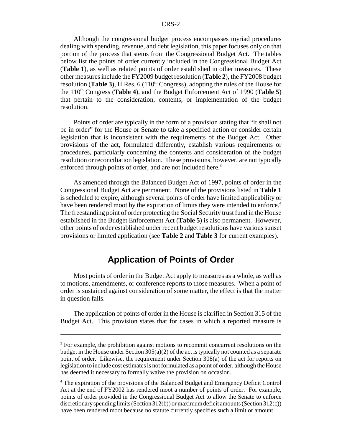Although the congressional budget process encompasses myriad procedures dealing with spending, revenue, and debt legislation, this paper focuses only on that portion of the process that stems from the Congressional Budget Act. The tables below list the points of order currently included in the Congressional Budget Act (**Table 1**), as well as related points of order established in other measures. These other measures include the FY2009 budget resolution (**Table 2**), the FY2008 budget resolution (**Table 3**), H.Res.  $6(110<sup>th</sup> Congress)$ , adopting the rules of the House for the 110th Congress (**Table 4**), and the Budget Enforcement Act of 1990 (**Table 5**) that pertain to the consideration, contents, or implementation of the budget resolution.

Points of order are typically in the form of a provision stating that "it shall not be in order" for the House or Senate to take a specified action or consider certain legislation that is inconsistent with the requirements of the Budget Act. Other provisions of the act, formulated differently, establish various requirements or procedures, particularly concerning the contents and consideration of the budget resolution or reconciliation legislation. These provisions, however, are not typically enforced through points of order, and are not included here.<sup>3</sup>

As amended through the Balanced Budget Act of 1997, points of order in the Congressional Budget Act are permanent. None of the provisions listed in **Table 1** is scheduled to expire, although several points of order have limited applicability or have been rendered moot by the expiration of limits they were intended to enforce.<sup>4</sup> The freestanding point of order protecting the Social Security trust fund in the House established in the Budget Enforcement Act (**Table 5**) is also permanent. However, other points of order established under recent budget resolutions have various sunset provisions or limited application (see **Table 2** and **Table 3** for current examples).

#### **Application of Points of Order**

Most points of order in the Budget Act apply to measures as a whole, as well as to motions, amendments, or conference reports to those measures. When a point of order is sustained against consideration of some matter, the effect is that the matter in question falls.

The application of points of order in the House is clarified in Section 315 of the Budget Act. This provision states that for cases in which a reported measure is

<sup>&</sup>lt;sup>3</sup> For example, the prohibition against motions to recommit concurrent resolutions on the budget in the House under Section  $305(a)(2)$  of the act is typically not counted as a separate point of order. Likewise, the requirement under Section 308(a) of the act for reports on legislation to include cost estimates is not formulated as a point of order, although the House has deemed it necessary to formally waive the provision on occasion.

<sup>&</sup>lt;sup>4</sup> The expiration of the provisions of the Balanced Budget and Emergency Deficit Control Act at the end of FY2002 has rendered moot a number of points of order. For example, points of order provided in the Congressional Budget Act to allow the Senate to enforce discretionary spending limits (Section 312(b)) or maximum deficit amounts (Section 312(c)) have been rendered moot because no statute currently specifies such a limit or amount.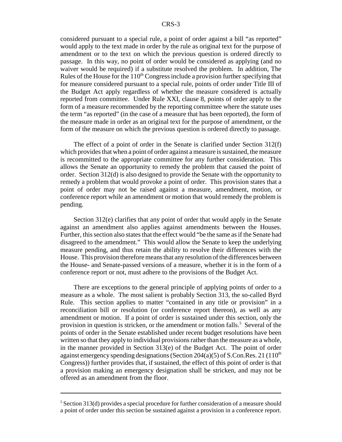considered pursuant to a special rule, a point of order against a bill "as reported" would apply to the text made in order by the rule as original text for the purpose of amendment or to the text on which the previous question is ordered directly to passage. In this way, no point of order would be considered as applying (and no waiver would be required) if a substitute resolved the problem. In addition, The Rules of the House for the  $110<sup>th</sup>$  Congress include a provision further specifying that for measure considered pursuant to a special rule, points of order under Title III of the Budget Act apply regardless of whether the measure considered is actually reported from committee. Under Rule XXI, clause 8, points of order apply to the form of a measure recommended by the reporting committee where the statute uses the term "as reported" (in the case of a measure that has been reported), the form of the measure made in order as an original text for the purpose of amendment, or the form of the measure on which the previous question is ordered directly to passage.

The effect of a point of order in the Senate is clarified under Section 312(f) which provides that when a point of order against a measure is sustained, the measure is recommitted to the appropriate committee for any further consideration. This allows the Senate an opportunity to remedy the problem that caused the point of order. Section 312(d) is also designed to provide the Senate with the opportunity to remedy a problem that would provoke a point of order. This provision states that a point of order may not be raised against a measure, amendment, motion, or conference report while an amendment or motion that would remedy the problem is pending.

Section 312(e) clarifies that any point of order that would apply in the Senate against an amendment also applies against amendments between the Houses. Further, this section also states that the effect would "be the same as if the Senate had disagreed to the amendment." This would allow the Senate to keep the underlying measure pending, and thus retain the ability to resolve their differences with the House. This provision therefore means that any resolution of the differences between the House- and Senate-passed versions of a measure, whether it is in the form of a conference report or not, must adhere to the provisions of the Budget Act.

There are exceptions to the general principle of applying points of order to a measure as a whole. The most salient is probably Section 313, the so-called Byrd Rule. This section applies to matter "contained in any title or provision" in a reconciliation bill or resolution (or conference report thereon), as well as any amendment or motion. If a point of order is sustained under this section, only the provision in question is stricken, or the amendment or motion falls.<sup>5</sup> Several of the points of order in the Senate established under recent budget resolutions have been written so that they apply to individual provisions rather than the measure as a whole, in the manner provided in Section 313(e) of the Budget Act. The point of order against emergency spending designations (Section 204(a)(5) of S.Con.Res. 21 (110<sup>th</sup> Congress)) further provides that, if sustained, the effect of this point of order is that a provision making an emergency designation shall be stricken, and may not be offered as an amendment from the floor.

<sup>&</sup>lt;sup>5</sup> Section 313(d) provides a special procedure for further consideration of a measure should a point of order under this section be sustained against a provision in a conference report.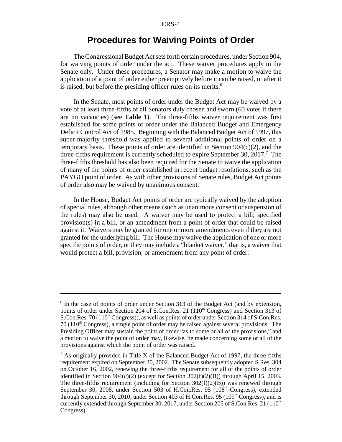#### **Procedures for Waiving Points of Order**

The Congressional Budget Act sets forth certain procedures, under Section 904, for waiving points of order under the act. These waiver procedures apply in the Senate only. Under these procedures, a Senator may make a motion to waive the application of a point of order either preemptively before it can be raised, or after it is raised, but before the presiding officer rules on its merits.<sup>6</sup>

In the Senate, most points of order under the Budget Act may be waived by a vote of at least three-fifths of all Senators duly chosen and sworn (60 votes if there are no vacancies) (see **Table 1**). The three-fifths waiver requirement was first established for some points of order under the Balanced Budget and Emergency Deficit Control Act of 1985. Beginning with the Balanced Budget Act of 1997, this super-majority threshold was applied to several additional points of order on a temporary basis. These points of order are identified in Section 904(c)(2), and the three-fifths requirement is currently scheduled to expire September 30, 2017.<sup>7</sup> The three-fifths threshold has also been required for the Senate to waive the application of many of the points of order established in recent budget resolutions, such as the PAYGO point of order. As with other provisions of Senate rules, Budget Act points of order also may be waived by unanimous consent.

In the House, Budget Act points of order are typically waived by the adoption of special rules, although other means (such as unanimous consent or suspension of the rules) may also be used. A waiver may be used to protect a bill, specified provision(s) in a bill, or an amendment from a point of order that could be raised against it. Waivers may be granted for one or more amendments even if they are not granted for the underlying bill. The House may waive the application of one or more specific points of order, or they may include a "blanket waiver," that is, a waiver that would protect a bill, provision, or amendment from any point of order.

<sup>&</sup>lt;sup>6</sup> In the case of points of order under Section 313 of the Budget Act (and by extension, points of order under Section 204 of S.Con.Res. 21 (110<sup>th</sup> Congress) and Section 313 of S.Con.Res. 70 (110<sup>th</sup> Congress)), as well as points of order under Section 314 of S.Con.Res. 70  $(110<sup>th</sup> Congress)$ , a single point of order may be raised against several provisions. The Presiding Officer may sustain the point of order "as to some or all of the provisions," and a motion to waive the point of order may, likewise, be made concerning some or all of the provisions against which the point of order was raised.

 $7$  As originally provided in Title X of the Balanced Budget Act of 1997, the three-fifths requirement expired on September 30, 2002. The Senate subsequently adopted S.Res. 304 on October 16, 2002, renewing the three-fifths requirement for all of the points of order identified in Section  $904(c)(2)$  (except for Section  $302(f)(2)(B)$ ) through April 15, 2003. The three-fifths requirement (including for Section  $302(f)(2)(B)$ ) was renewed through September 30, 2008, under Section 503 of H.Con.Res. 95 (108<sup>th</sup> Congress), extended through September 30, 2010, under Section 403 of H.Con.Res. 95 ( $109<sup>th</sup>$  Congress), and is currently extended through September 30, 2017, under Section 205 of S.Con.Res. 21  $(110<sup>th</sup>$ Congress).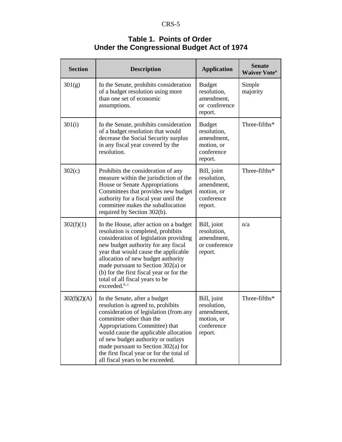#### CRS-5

#### **Table 1. Points of Order Under the Congressional Budget Act of 1974**

| <b>Section</b> | <b>Description</b>                                                                                                                                                                                                                                                                                                                                                                              | <b>Application</b>                                                                | <b>Senate</b><br><b>Waiver Vote</b> <sup>a</sup> |
|----------------|-------------------------------------------------------------------------------------------------------------------------------------------------------------------------------------------------------------------------------------------------------------------------------------------------------------------------------------------------------------------------------------------------|-----------------------------------------------------------------------------------|--------------------------------------------------|
| 301(g)         | In the Senate, prohibits consideration<br>of a budget resolution using more<br>than one set of economic<br>assumptions.                                                                                                                                                                                                                                                                         | <b>Budget</b><br>resolution,<br>amendment,<br>or conference<br>report.            | Simple<br>majority                               |
| 301(i)         | In the Senate, prohibits consideration<br>of a budget resolution that would<br>decrease the Social Security surplus<br>in any fiscal year covered by the<br>resolution.                                                                                                                                                                                                                         | <b>Budget</b><br>resolution,<br>amendment,<br>motion, or<br>conference<br>report. | Three-fifths*                                    |
| 302(c)         | Prohibits the consideration of any<br>measure within the jurisdiction of the<br>House or Senate Appropriations<br>Committees that provides new budget<br>authority for a fiscal year until the<br>committee makes the suballocation<br>required by Section 302(b).                                                                                                                              | Bill, joint<br>resolution,<br>amendment,<br>motion, or<br>conference<br>report.   | Three-fifths*                                    |
| 302(f)(1)      | In the House, after action on a budget<br>resolution is completed, prohibits<br>consideration of legislation providing<br>new budget authority for any fiscal<br>year that would cause the applicable<br>allocation of new budget authority<br>made pursuant to Section $302(a)$ or<br>(b) for the first fiscal year or for the<br>total of all fiscal years to be<br>exceeded. <sup>b, c</sup> | Bill, joint<br>resolution,<br>amendment,<br>or conference<br>report.              | n/a                                              |
| 302(f)(2)(A)   | In the Senate, after a budget<br>resolution is agreed to, prohibits<br>consideration of legislation (from any<br>committee other than the<br>Appropriations Committee) that<br>would cause the applicable allocation<br>of new budget authority or outlays<br>made pursuant to Section $302(a)$ for<br>the first fiscal year or for the total of<br>all fiscal years to be exceeded.            | Bill, joint<br>resolution,<br>amendment,<br>motion, or<br>conference<br>report.   | Three-fifths*                                    |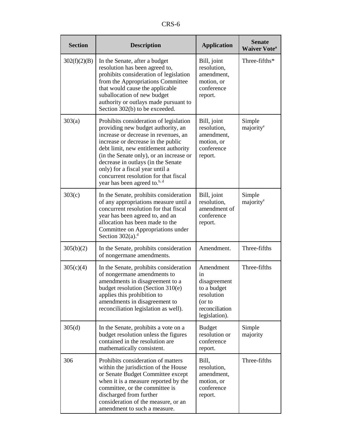| <b>Section</b> | <b>Description</b>                                                                                                                                                                                                                                                                                                                                                                                           | <b>Application</b>                                                                                           | <b>Senate</b><br><b>Waiver Vote</b> <sup>a</sup> |
|----------------|--------------------------------------------------------------------------------------------------------------------------------------------------------------------------------------------------------------------------------------------------------------------------------------------------------------------------------------------------------------------------------------------------------------|--------------------------------------------------------------------------------------------------------------|--------------------------------------------------|
| 302(f)(2)(B)   | In the Senate, after a budget<br>resolution has been agreed to,<br>prohibits consideration of legislation<br>from the Appropriations Committee<br>that would cause the applicable<br>suballocation of new budget<br>authority or outlays made pursuant to<br>Section 302(b) to be exceeded.                                                                                                                  | Bill, joint<br>resolution,<br>amendment,<br>motion, or<br>conference<br>report.                              | Three-fifths*                                    |
| 303(a)         | Prohibits consideration of legislation<br>providing new budget authority, an<br>increase or decrease in revenues, an<br>increase or decrease in the public<br>debt limit, new entitlement authority<br>(in the Senate only), or an increase or<br>decrease in outlays (in the Senate<br>only) for a fiscal year until a<br>concurrent resolution for that fiscal<br>year has been agreed to. <sup>b, d</sup> | Bill, joint<br>resolution,<br>amendment,<br>motion, or<br>conference<br>report.                              | Simple<br>majority <sup>e</sup>                  |
| 303(c)         | In the Senate, prohibits consideration<br>of any appropriations measure until a<br>concurrent resolution for that fiscal<br>year has been agreed to, and an<br>allocation has been made to the<br>Committee on Appropriations under<br>Section $302(a)$ . <sup>d</sup>                                                                                                                                       | Bill, joint<br>resolution,<br>amendment of<br>conference<br>report.                                          | Simple<br>majority <sup>e</sup>                  |
| 305(b)(2)      | In the Senate, prohibits consideration<br>of nongermane amendments.                                                                                                                                                                                                                                                                                                                                          | Amendment.                                                                                                   | Three-fifths                                     |
| 305(c)(4)      | In the Senate, prohibits consideration<br>of nongermane amendments to<br>amendments in disagreement to a<br>budget resolution (Section 310(e)<br>applies this prohibition to<br>amendments in disagreement to<br>reconciliation legislation as well).                                                                                                                                                        | Amendment<br>in<br>disagreement<br>to a budget<br>resolution<br>$($ or to<br>reconciliation<br>legislation). | Three-fifths                                     |
| 305(d)         | In the Senate, prohibits a vote on a<br>budget resolution unless the figures<br>contained in the resolution are<br>mathematically consistent.                                                                                                                                                                                                                                                                | <b>Budget</b><br>resolution or<br>conference<br>report.                                                      | Simple<br>majority                               |
| 306            | Prohibits consideration of matters<br>within the jurisdiction of the House<br>or Senate Budget Committee except<br>when it is a measure reported by the<br>committee, or the committee is<br>discharged from further<br>consideration of the measure, or an<br>amendment to such a measure.                                                                                                                  | Bill,<br>resolution,<br>amendment,<br>motion, or<br>conference<br>report.                                    | Three-fifths                                     |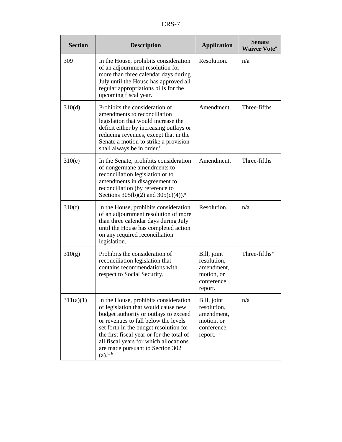| <b>Section</b> | <b>Description</b>                                                                                                                                                                                                                                                                                                                                     | <b>Application</b>                                                              | <b>Senate</b><br><b>Waiver Vote</b> <sup>a</sup> |
|----------------|--------------------------------------------------------------------------------------------------------------------------------------------------------------------------------------------------------------------------------------------------------------------------------------------------------------------------------------------------------|---------------------------------------------------------------------------------|--------------------------------------------------|
| 309            | In the House, prohibits consideration<br>of an adjournment resolution for<br>more than three calendar days during<br>July until the House has approved all<br>regular appropriations bills for the<br>upcoming fiscal year.                                                                                                                            | Resolution.                                                                     | n/a                                              |
| 310(d)         | Prohibits the consideration of<br>amendments to reconciliation<br>legislation that would increase the<br>deficit either by increasing outlays or<br>reducing revenues, except that in the<br>Senate a motion to strike a provision<br>shall always be in order. <sup>f</sup>                                                                           | Amendment.                                                                      | Three-fifths                                     |
| 310(e)         | In the Senate, prohibits consideration<br>of nongermane amendments to<br>reconciliation legislation or to<br>amendments in disagreement to<br>reconciliation (by reference to<br>Sections 305(b)(2) and 305(c)(4)). <sup>8</sup>                                                                                                                       | Amendment.                                                                      | Three-fifths                                     |
| 310(f)         | In the House, prohibits consideration<br>of an adjournment resolution of more<br>than three calendar days during July<br>until the House has completed action<br>on any required reconciliation<br>legislation.                                                                                                                                        | Resolution.                                                                     | n/a                                              |
| 310(g)         | Prohibits the consideration of<br>reconciliation legislation that<br>contains recommendations with<br>respect to Social Security.                                                                                                                                                                                                                      | Bill, joint<br>resolution,<br>amendment,<br>motion, or<br>conference<br>report. | Three-fifths*                                    |
| 311(a)(1)      | In the House, prohibits consideration<br>of legislation that would cause new<br>budget authority or outlays to exceed<br>or revenues to fall below the levels<br>set forth in the budget resolution for<br>the first fiscal year or for the total of<br>all fiscal years for which allocations<br>are made pursuant to Section 302<br>$(a)$ , $(b, h)$ | Bill, joint<br>resolution,<br>amendment,<br>motion, or<br>conference<br>report. | n/a                                              |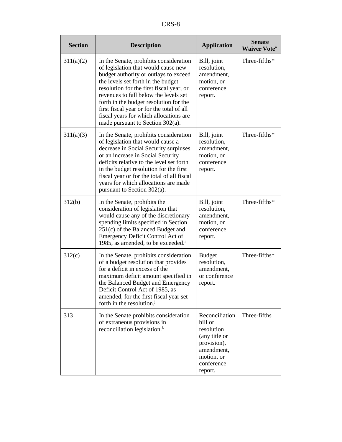| <b>Section</b> | <b>Description</b>                                                                                                                                                                                                                                                                                                                                                                                                        | <b>Application</b>                                                                                                           | <b>Senate</b><br><b>Waiver Vote</b> <sup>a</sup> |
|----------------|---------------------------------------------------------------------------------------------------------------------------------------------------------------------------------------------------------------------------------------------------------------------------------------------------------------------------------------------------------------------------------------------------------------------------|------------------------------------------------------------------------------------------------------------------------------|--------------------------------------------------|
| 311(a)(2)      | In the Senate, prohibits consideration<br>of legislation that would cause new<br>budget authority or outlays to exceed<br>the levels set forth in the budget<br>resolution for the first fiscal year, or<br>revenues to fall below the levels set<br>forth in the budget resolution for the<br>first fiscal year or for the total of all<br>fiscal years for which allocations are<br>made pursuant to Section $302(a)$ . | Bill, joint<br>resolution,<br>amendment,<br>motion, or<br>conference<br>report.                                              | Three-fifths*                                    |
| 311(a)(3)      | In the Senate, prohibits consideration<br>of legislation that would cause a<br>decrease in Social Security surpluses<br>or an increase in Social Security<br>deficits relative to the level set forth<br>in the budget resolution for the first<br>fiscal year or for the total of all fiscal<br>years for which allocations are made<br>pursuant to Section $302(a)$ .                                                   | Bill, joint<br>resolution,<br>amendment,<br>motion, or<br>conference<br>report.                                              | Three-fifths*                                    |
| 312(b)         | In the Senate, prohibits the<br>consideration of legislation that<br>would cause any of the discretionary<br>spending limits specified in Section<br>$251(c)$ of the Balanced Budget and<br>Emergency Deficit Control Act of<br>1985, as amended, to be exceeded. $\mathbf{i}$                                                                                                                                            | Bill, joint<br>resolution,<br>amendment,<br>motion, or<br>conference<br>report.                                              | Three-fifths*                                    |
| 312(c)         | In the Senate, prohibits consideration<br>of a budget resolution that provides<br>for a deficit in excess of the<br>maximum deficit amount specified in<br>the Balanced Budget and Emergency<br>Deficit Control Act of 1985, as<br>amended, for the first fiscal year set<br>forth in the resolution. <sup>j</sup>                                                                                                        | <b>Budget</b><br>resolution,<br>amendment,<br>or conference<br>report.                                                       | Three-fifths*                                    |
| 313            | In the Senate prohibits consideration<br>of extraneous provisions in<br>reconciliation legislation. <sup>k</sup>                                                                                                                                                                                                                                                                                                          | Reconciliation<br>bill or<br>resolution<br>(any title or<br>provision),<br>amendment,<br>motion, or<br>conference<br>report. | Three-fifths                                     |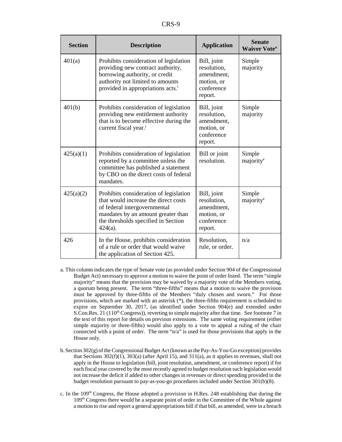| <b>Section</b> | <b>Description</b>                                                                                                                                                                                        | <b>Application</b>                                                              | <b>Senate</b><br><b>Waiver Vote</b> <sup>a</sup> |
|----------------|-----------------------------------------------------------------------------------------------------------------------------------------------------------------------------------------------------------|---------------------------------------------------------------------------------|--------------------------------------------------|
| 401(a)         | Prohibits consideration of legislation<br>providing new contract authority,<br>borrowing authority, or credit<br>authority not limited to amounts<br>provided in appropriations acts. <sup>1</sup>        | Bill, joint<br>resolution,<br>amendment,<br>motion, or<br>conference<br>report. | Simple<br>majority                               |
| 401(b)         | Prohibits consideration of legislation<br>providing new entitlement authority<br>that is to become effective during the<br>current fiscal year. <sup>j</sup>                                              | Bill, joint<br>resolution,<br>amendment,<br>motion, or<br>conference<br>report. | Simple<br>majority                               |
| 425(a)(1)      | Prohibits consideration of legislation<br>reported by a committee unless the<br>committee has published a statement<br>by CBO on the direct costs of federal<br>mandates.                                 | Bill or joint<br>resolution.                                                    | Simple<br>majority <sup>e</sup>                  |
| 425(a)(2)      | Prohibits consideration of legislation<br>that would increase the direct costs<br>of federal intergovernmental<br>mandates by an amount greater than<br>the thresholds specified in Section<br>$424(a)$ . | Bill, joint<br>resolution,<br>amendment,<br>motion, or<br>conference<br>report. | Simple<br>majority <sup>e</sup>                  |
| 426            | In the House, prohibits consideration<br>of a rule or order that would waive<br>the application of Section 425.                                                                                           | Resolution,<br>rule, or order.                                                  | n/a                                              |

- a. This column indicates the type of Senate vote (as provided under Section 904 of the Congressional Budget Act) necessary to approve a motion to waive the point of order listed. The term "simple majority" means that the provision may be waived by a majority vote of the Members voting, a quorum being present. The term "three-fifths" means that a motion to waive the provision must be approved by three-fifths of the Members "duly chosen and sworn." For those provisions, which are marked with an asterisk (\*), the three-fifths requirement is scheduled to expire on September 30, 2017, (as identified under Section 904(e) and extended under S.Con.Res. 21 (110<sup>th</sup> Congress)), reverting to simple majority after that time. See footnote 7 in the text of this report for details on previous extensions. The same voting requirement (either simple majority or three-fifths) would also apply to a vote to appeal a ruling of the chair connected with a point of order. The term "n/a" is used for those provisions that apply in the House only.
- b. Section 302(g) of the Congressional Budget Act (known as the Pay-As-You-Go exception) provides that Sections  $302(f)(1)$ ,  $303(a)$  (after April 15), and  $311(a)$ , as it applies to revenues, shall not apply in the House to legislation (bill, joint resolution, amendment, or conference report) if for each fiscal year covered by the most recently agreed to budget resolution such legislation would not increase the deficit if added to other changes in revenues or direct spending provided in the budget resolution pursuant to pay-as-you-go procedures included under Section 301(b)(8).
- c. In the 109<sup>th</sup> Congress, the House adopted a provision in H.Res. 248 establishing that during the 109<sup>th</sup> Congress there would be a separate point of order in the Committee of the Whole against a motion to rise and report a general appropriations bill if that bill, as amended, were in a breach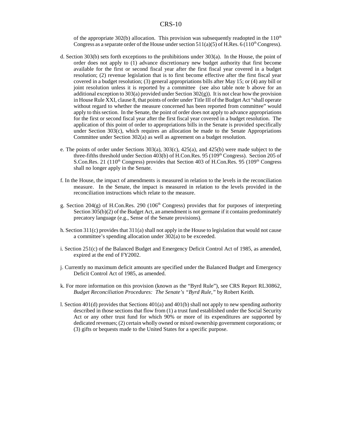#### CRS-10

of the appropriate 302(b) allocation. This provision was subsequently readopted in the  $110<sup>th</sup>$ Congress as a separate order of the House under section 511(a)(5) of H.Res. 6 (110<sup>th</sup> Congress).

- d. Section 303(b) sets forth exceptions to the prohibitions under 303(a). In the House, the point of order does not apply to (1) advance discretionary new budget authority that first become available for the first or second fiscal year after the first fiscal year covered in a budget resolution; (2) revenue legislation that is to first become effective after the first fiscal year covered in a budget resolution; (3) general appropriations bills after May 15; or (4) any bill or joint resolution unless it is reported by a committee (see also table note b above for an additional exception to 303(a) provided under Section 302(g)). It is not clear how the provision in House Rule XXI, clause 8, that points of order under Title III of the Budget Act "shall operate without regard to whether the measure concerned has been reported from committee" would apply to this section. In the Senate, the point of order does not apply to advance appropriations for the first or second fiscal year after the first fiscal year covered in a budget resolution. The application of this point of order to appropriations bills in the Senate is provided specifically under Section  $303(c)$ , which requires an allocation be made to the Senate Appropriations Committee under Section 302(a) as well as agreement on a budget resolution.
- e. The points of order under Sections 303(a), 303(c), 425(a), and 425(b) were made subject to the three-fifths threshold under Section 403(b) of H.Con.Res. 95 (109<sup>th</sup> Congress). Section 205 of S.Con.Res. 21  $(110<sup>th</sup> Congress)$  provides that Section 403 of H.Con.Res. 95  $(109<sup>th</sup> Congress)$ shall no longer apply in the Senate.
- f. In the House, the impact of amendments is measured in relation to the levels in the reconciliation measure. In the Senate, the impact is measured in relation to the levels provided in the reconciliation instructions which relate to the measure.
- g. Section 204(g) of H.Con.Res. 290 (106<sup>th</sup> Congress) provides that for purposes of interpreting Section 305(b)(2) of the Budget Act, an amendment is not germane if it contains predominately precatory language (e.g., Sense of the Senate provisions).
- h. Section 311(c) provides that 311(a) shall not apply in the House to legislation that would not cause a committee's spending allocation under 302(a) to be exceeded.
- i. Section 251(c) of the Balanced Budget and Emergency Deficit Control Act of 1985, as amended, expired at the end of FY2002.
- j. Currently no maximum deficit amounts are specified under the Balanced Budget and Emergency Deficit Control Act of 1985, as amended.
- k. For more information on this provision (known as the "Byrd Rule"), see CRS Report RL30862, *Budget Reconciliation Procedures: The Senate's "Byrd Rule,"* by Robert Keith.
- l. Section 401(d) provides that Sections 401(a) and 401(b) shall not apply to new spending authority described in those sections that flow from (1) a trust fund established under the Social Security Act or any other trust fund for which 90% or more of its expenditures are supported by dedicated revenues; (2) certain wholly owned or mixed ownership government corporations; or (3) gifts or bequests made to the United States for a specific purpose.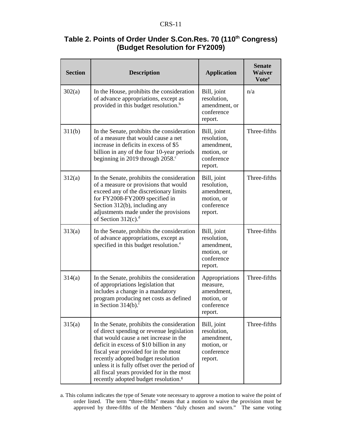#### CRS-11

| Table 2. Points of Order Under S.Con.Res. 70 (110 <sup>th</sup> Congress) |
|---------------------------------------------------------------------------|
| (Budget Resolution for FY2009)                                            |

| <b>Section</b> | <b>Description</b>                                                                                                                                                                                                                                                                                                                                                                                           | <b>Application</b>                                                              | <b>Senate</b><br><b>Waiver</b><br>Vote <sup>a</sup> |
|----------------|--------------------------------------------------------------------------------------------------------------------------------------------------------------------------------------------------------------------------------------------------------------------------------------------------------------------------------------------------------------------------------------------------------------|---------------------------------------------------------------------------------|-----------------------------------------------------|
| 302(a)         | In the House, prohibits the consideration<br>of advance appropriations, except as<br>provided in this budget resolution. <sup>b</sup>                                                                                                                                                                                                                                                                        | Bill, joint<br>resolution,<br>amendment, or<br>conference<br>report.            | n/a                                                 |
| 311(b)         | In the Senate, prohibits the consideration<br>of a measure that would cause a net<br>increase in deficits in excess of \$5<br>billion in any of the four 10-year periods<br>beginning in 2019 through 2058. <sup>c</sup>                                                                                                                                                                                     | Bill, joint<br>resolution,<br>amendment,<br>motion, or<br>conference<br>report. | Three-fifths                                        |
| 312(a)         | In the Senate, prohibits the consideration<br>of a measure or provisions that would<br>exceed any of the discretionary limits<br>for FY2008-FY2009 specified in<br>Section 312(b), including any<br>adjustments made under the provisions<br>of Section $312(c)$ . <sup>d</sup>                                                                                                                              | Bill, joint<br>resolution,<br>amendment,<br>motion, or<br>conference<br>report. | Three-fifths                                        |
| 313(a)         | In the Senate, prohibits the consideration<br>of advance appropriations, except as<br>specified in this budget resolution. <sup>e</sup>                                                                                                                                                                                                                                                                      | Bill, joint<br>resolution,<br>amendment,<br>motion, or<br>conference<br>report. | Three-fifths                                        |
| 314(a)         | In the Senate, prohibits the consideration<br>of appropriations legislation that<br>includes a change in a mandatory<br>program producing net costs as defined<br>in Section $314(b)$ . <sup>f</sup>                                                                                                                                                                                                         | Appropriations<br>measure,<br>amendment,<br>motion, or<br>conference<br>report. | Three-fifths                                        |
| 315(a)         | In the Senate, prohibits the consideration<br>of direct spending or revenue legislation<br>that would cause a net increase in the<br>deficit in excess of \$10 billion in any<br>fiscal year provided for in the most<br>recently adopted budget resolution<br>unless it is fully offset over the period of<br>all fiscal years provided for in the most<br>recently adopted budget resolution. <sup>8</sup> | Bill, joint<br>resolution,<br>amendment,<br>motion, or<br>conference<br>report. | Three-fifths                                        |

a. This column indicates the type of Senate vote necessary to approve a motion to waive the point of order listed. The term "three-fifths" means that a motion to waive the provision must be approved by three-fifths of the Members "duly chosen and sworn." The same voting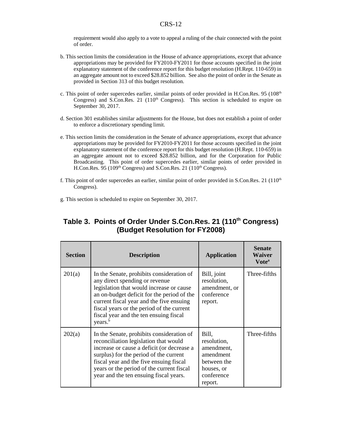requirement would also apply to a vote to appeal a ruling of the chair connected with the point of order.

- b. This section limits the consideration in the House of advance appropriations, except that advance appropriations may be provided for FY2010-FY2011 for those accounts specified in the joint explanatory statement of the conference report for this budget resolution (H.Rept. 110-659) in an aggregate amount not to exceed \$28.852 billion. See also the point of order in the Senate as provided in Section 313 of this budget resolution.
- c. This point of order supercedes earlier, similar points of order provided in H.Con.Res. 95 (108<sup>th</sup> Congress) and S.Con.Res. 21  $(110<sup>th</sup>$  Congress). This section is scheduled to expire on September 30, 2017.
- d. Section 301 establishes similar adjustments for the House, but does not establish a point of order to enforce a discretionary spending limit.
- e. This section limits the consideration in the Senate of advance appropriations, except that advance appropriations may be provided for FY2010-FY2011 for those accounts specified in the joint explanatory statement of the conference report for this budget resolution (H.Rept. 110-659) in an aggregate amount not to exceed \$28.852 billion, and for the Corporation for Public Broadcasting. This point of order supercedes earlier, similar points of order provided in H.Con.Res. 95 (109<sup>th</sup> Congress) and S.Con.Res. 21 (110<sup>th</sup> Congress).
- f. This point of order supercedes an earlier, similar point of order provided in S.Con.Res. 21 ( $110<sup>th</sup>$ Congress).
- g. This section is scheduled to expire on September 30, 2017.

#### **Table 3. Points of Order Under S.Con.Res. 21 (110th Congress) (Budget Resolution for FY2008)**

| <b>Section</b> | <b>Description</b>                                                                                                                                                                                                                                                                                                              | <b>Application</b>                                                                                    | <b>Senate</b><br>Waiver<br>Vote <sup>a</sup> |
|----------------|---------------------------------------------------------------------------------------------------------------------------------------------------------------------------------------------------------------------------------------------------------------------------------------------------------------------------------|-------------------------------------------------------------------------------------------------------|----------------------------------------------|
| 201(a)         | In the Senate, prohibits consideration of<br>any direct spending or revenue<br>legislation that would increase or cause<br>an on-budget deficit for the period of the<br>current fiscal year and the five ensuing<br>fiscal years or the period of the current<br>fiscal year and the ten ensuing fiscal<br>years. <sup>b</sup> | Bill, joint<br>resolution,<br>amendment, or<br>conference<br>report.                                  | Three-fifths                                 |
| 202(a)         | In the Senate, prohibits consideration of<br>reconciliation legislation that would<br>increase or cause a deficit (or decrease a<br>surplus) for the period of the current<br>fiscal year and the five ensuing fiscal<br>years or the period of the current fiscal<br>year and the ten ensuing fiscal years.                    | Bill,<br>resolution,<br>amendment,<br>amendment<br>between the<br>houses, or<br>conference<br>report. | Three-fifths                                 |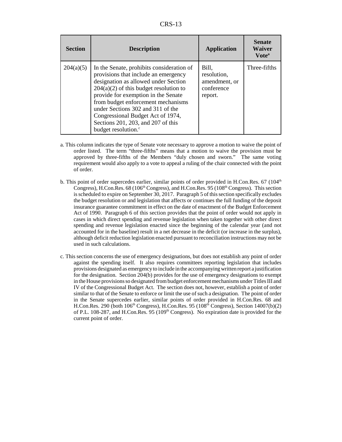| D.<br>. . T |  |
|-------------|--|
|-------------|--|

| <b>Section</b> | <b>Description</b>                                                                                                                                                                                                                                                                                                                                                                                    | <b>Application</b>                                             | <b>Senate</b><br><b>Waiver</b><br><b>Vote</b> <sup>a</sup> |
|----------------|-------------------------------------------------------------------------------------------------------------------------------------------------------------------------------------------------------------------------------------------------------------------------------------------------------------------------------------------------------------------------------------------------------|----------------------------------------------------------------|------------------------------------------------------------|
| 204(a)(5)      | In the Senate, prohibits consideration of<br>provisions that include an emergency<br>designation as allowed under Section<br>$204(a)(2)$ of this budget resolution to<br>provide for exemption in the Senate<br>from budget enforcement mechanisms<br>under Sections 302 and 311 of the<br>Congressional Budget Act of 1974,<br>Sections 201, 203, and 207 of this<br>budget resolution. <sup>c</sup> | Bill.<br>resolution,<br>amendment, or<br>conference<br>report. | Three-fifths                                               |

- a. This column indicates the type of Senate vote necessary to approve a motion to waive the point of order listed. The term "three-fifths" means that a motion to waive the provision must be approved by three-fifths of the Members "duly chosen and sworn." The same voting requirement would also apply to a vote to appeal a ruling of the chair connected with the point of order.
- b. This point of order supercedes earlier, similar points of order provided in H.Con.Res.  $67$  ( $104<sup>th</sup>$ Congress), H.Con.Res.  $68(106<sup>th</sup> Congress)$ , and H.Con.Res. 95 ( $108<sup>th</sup> Congress$ ). This section is scheduled to expire on September 30, 2017. Paragraph 5 of this section specifically excludes the budget resolution or and legislation that affects or continues the full funding of the deposit insurance guarantee commitment in effect on the date of enactment of the Budget Enforcement Act of 1990. Paragraph 6 of this section provides that the point of order would not apply in cases in which direct spending and revenue legislation when taken together with other direct spending and revenue legislation enacted since the beginning of the calendar year (and not accounted for in the baseline) result in a net decrease in the deficit (or increase in the surplus), although deficit reduction legislation enacted pursuant to reconciliation instructions may not be used in such calculations.
- c. This section concerns the use of emergency designations, but does not establish any point of order against the spending itself. It also requires committees reporting legislation that includes provisions designated as emergency to include in the accompanying written report a justification for the designation. Section 204(b) provides for the use of emergency designations to exempt in the House provisions so designated from budget enforcement mechanisms under Titles III and IV of the Congressional Budget Act. The section does not, however, establish a point of order similar to that of the Senate to enforce or limit the use of such a designation. The point of order in the Senate supercedes earlier, similar points of order provided in H.Con.Res. 68 and H.Con.Res. 290 (both  $106<sup>th</sup>$  Congress), H.Con.Res. 95 ( $108<sup>th</sup>$  Congress), Section  $14007(b)(2)$ of P.L. 108-287, and H.Con.Res. 95 (109<sup>th</sup> Congress). No expiration date is provided for the current point of order.